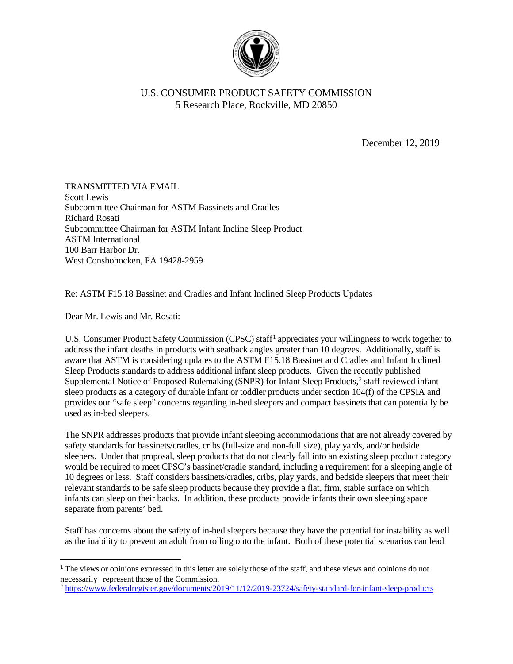

## U.S. CONSUMER PRODUCT SAFETY COMMISSION 5 Research Place, Rockville, MD 20850

December 12, 2019

TRANSMITTED VIA EMAIL Scott Lewis Subcommittee Chairman for ASTM Bassinets and Cradles Richard Rosati Subcommittee Chairman for ASTM Infant Incline Sleep Product ASTM International 100 Barr Harbor Dr. West Conshohocken, PA 19428-2959

Re: ASTM F15.18 Bassinet and Cradles and Infant Inclined Sleep Products Updates

Dear Mr. Lewis and Mr. Rosati:

U.S. Consumer Product Safety Commission (CPSC) staff<sup>[1](#page-0-0)</sup> appreciates your willingness to work together to address the infant deaths in products with seatback angles greater than 10 degrees. Additionally, staff is aware that ASTM is considering updates to the ASTM F15.18 Bassinet and Cradles and Infant Inclined Sleep Products standards to address additional infant sleep products. Given the recently published Supplemental Notice of Proposed Rulemaking (SNPR) for Infant Sleep Products, [2](#page-0-1) staff reviewed infant sleep products as a category of durable infant or toddler products under section 104(f) of the CPSIA and provides our "safe sleep" concerns regarding in-bed sleepers and compact bassinets that can potentially be used as in-bed sleepers.

The SNPR addresses products that provide infant sleeping accommodations that are not already covered by safety standards for bassinets/cradles, cribs (full-size and non-full size), play yards, and/or bedside sleepers. Under that proposal, sleep products that do not clearly fall into an existing sleep product category would be required to meet CPSC's bassinet/cradle standard, including a requirement for a sleeping angle of 10 degrees or less. Staff considers bassinets/cradles, cribs, play yards, and bedside sleepers that meet their relevant standards to be safe sleep products because they provide a flat, firm, stable surface on which infants can sleep on their backs. In addition, these products provide infants their own sleeping space separate from parents' bed.

Staff has concerns about the safety of in-bed sleepers because they have the potential for instability as well as the inability to prevent an adult from rolling onto the infant. Both of these potential scenarios can lead

<span id="page-0-1"></span><sup>2</sup> <https://www.federalregister.gov/documents/2019/11/12/2019-23724/safety-standard-for-infant-sleep-products>

<span id="page-0-0"></span><sup>&</sup>lt;sup>1</sup> The views or opinions expressed in this letter are solely those of the staff, and these views and opinions do not necessarily represent those of the Commission.